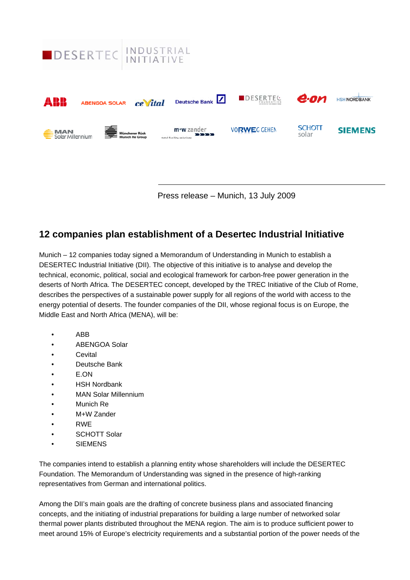

Press release – Munich, 13 July 2009

# **12 companies plan establishment of a Desertec Industrial Initiative**

Munich – 12 companies today signed a Memorandum of Understanding in Munich to establish a DESERTEC Industrial Initiative (DII). The objective of this initiative is to analyse and develop the technical, economic, political, social and ecological framework for carbon-free power generation in the deserts of North Africa. The DESERTEC concept, developed by the TREC Initiative of the Club of Rome, describes the perspectives of a sustainable power supply for all regions of the world with access to the energy potential of deserts. The founder companies of the DII, whose regional focus is on Europe, the Middle East and North Africa (MENA), will be:

- ABB
- ABENGOA Solar
- Cevital
- Deutsche Bank
- E.ON
- HSH Nordbank
- MAN Solar Millennium
- Munich Re
- M+W Zander
- RWE
- SCHOTT Solar
- **SIEMENS**

The companies intend to establish a planning entity whose shareholders will include the DESERTEC Foundation. The Memorandum of Understanding was signed in the presence of high-ranking representatives from German and international politics.

Among the DII's main goals are the drafting of concrete business plans and associated financing concepts, and the initiating of industrial preparations for building a large number of networked solar thermal power plants distributed throughout the MENA region. The aim is to produce sufficient power to meet around 15% of Europe's electricity requirements and a substantial portion of the power needs of the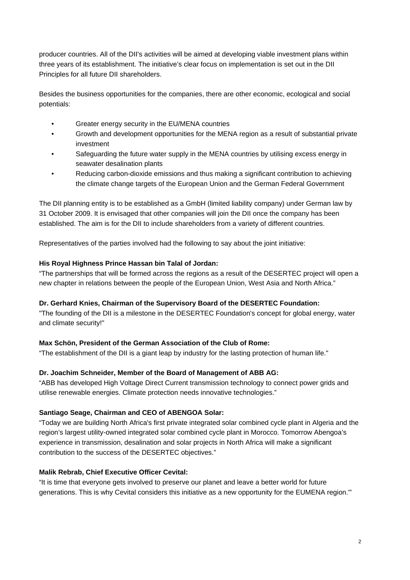producer countries. All of the DII's activities will be aimed at developing viable investment plans within three years of its establishment. The initiative's clear focus on implementation is set out in the DII Principles for all future DII shareholders.

Besides the business opportunities for the companies, there are other economic, ecological and social potentials:

- Greater energy security in the EU/MENA countries
- Growth and development opportunities for the MENA region as a result of substantial private investment
- Safeguarding the future water supply in the MENA countries by utilising excess energy in seawater desalination plants
- Reducing carbon-dioxide emissions and thus making a significant contribution to achieving the climate change targets of the European Union and the German Federal Government

The DII planning entity is to be established as a GmbH (limited liability company) under German law by 31 October 2009. It is envisaged that other companies will join the DII once the company has been established. The aim is for the DII to include shareholders from a variety of different countries.

Representatives of the parties involved had the following to say about the joint initiative:

### **His Royal Highness Prince Hassan bin Talal of Jordan:**

"The partnerships that will be formed across the regions as a result of the DESERTEC project will open a new chapter in relations between the people of the European Union, West Asia and North Africa."

### **Dr. Gerhard Knies, Chairman of the Supervisory Board of the DESERTEC Foundation:**

"The founding of the DII is a milestone in the DESERTEC Foundation's concept for global energy, water and climate security!"

### **Max Schön, President of the German Association of the Club of Rome:**

"The establishment of the DII is a giant leap by industry for the lasting protection of human life."

### **Dr. Joachim Schneider, Member of the Board of Management of ABB AG:**

"ABB has developed High Voltage Direct Current transmission technology to connect power grids and utilise renewable energies. Climate protection needs innovative technologies."

### **Santiago Seage, Chairman and CEO of ABENGOA Solar:**

"Today we are building North Africa's first private integrated solar combined cycle plant in Algeria and the region's largest utility-owned integrated solar combined cycle plant in Morocco. Tomorrow Abengoa's experience in transmission, desalination and solar projects in North Africa will make a significant contribution to the success of the DESERTEC objectives."

### **Malik Rebrab, Chief Executive Officer Cevital:**

"It is time that everyone gets involved to preserve our planet and leave a better world for future generations. This is why Cevital considers this initiative as a new opportunity for the EUMENA region.'"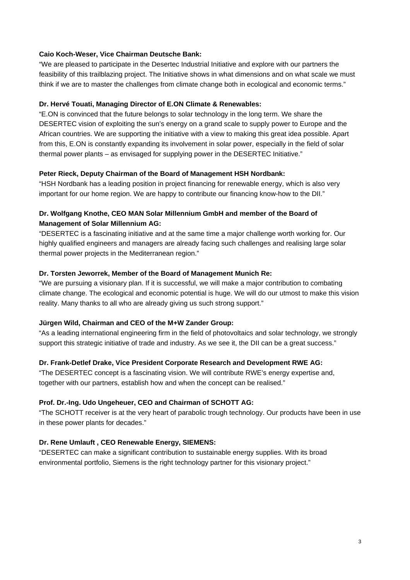# **Caio Koch-Weser, Vice Chairman Deutsche Bank:**

"We are pleased to participate in the Desertec Industrial Initiative and explore with our partners the feasibility of this trailblazing project. The Initiative shows in what dimensions and on what scale we must think if we are to master the challenges from climate change both in ecological and economic terms."

# **Dr. Hervé Touati, Managing Director of E.ON Climate & Renewables:**

"E.ON is convinced that the future belongs to solar technology in the long term. We share the DESERTEC vision of exploiting the sun's energy on a grand scale to supply power to Europe and the African countries. We are supporting the initiative with a view to making this great idea possible. Apart from this, E.ON is constantly expanding its involvement in solar power, especially in the field of solar thermal power plants – as envisaged for supplying power in the DESERTEC Initiative."

# **Peter Rieck, Deputy Chairman of the Board of Management HSH Nordbank:**

"HSH Nordbank has a leading position in project financing for renewable energy, which is also very important for our home region. We are happy to contribute our financing know-how to the DII."

# **Dr. Wolfgang Knothe, CEO MAN Solar Millennium GmbH and member of the Board of Management of Solar Millennium AG:**

"DESERTEC is a fascinating initiative and [at](http://dict.leo.org/ende?lp=ende&p=thMx..&search=at) [the](http://dict.leo.org/ende?lp=ende&p=thMx..&search=the) [same](http://dict.leo.org/ende?lp=ende&p=thMx..&search=same) [time](http://dict.leo.org/ende?lp=ende&p=thMx..&search=time) a major challenge worth working for. Our highly qualified engineers and managers are already facing such challenges and realising large solar thermal power projects in the Mediterranean region."

# **Dr. Torsten Jeworrek, Member of the Board of Management Munich Re:**

"We are pursuing a visionary plan. If it is successful, we will make a major contribution to combating climate change. The ecological and economic potential is huge. We will do our utmost to make this vision reality. Many thanks to all who are already giving us such strong support."

# **Jürgen Wild, Chairman and CEO of the M+W Zander Group:**

"As a leading international engineering firm in the field of photovoltaics and solar technology, we strongly support this strategic initiative of trade and industry. As we see it, the DII can be a great success."

# **Dr. Frank-Detlef Drake, Vice President Corporate Research and Development RWE AG:**

"The DESERTEC concept is a fascinating vision. We will contribute RWE's energy expertise and, together with our partners, establish how and when the concept can be realised."

# **Prof. Dr.-Ing. Udo Ungeheuer, CEO and Chairman of SCHOTT AG:**

"The SCHOTT receiver is at the very heart of parabolic trough technology. Our products have been in use in these power plants for decades."

# **Dr. Rene Umlauft , CEO Renewable Energy, SIEMENS:**

"DESERTEC can make a significant contribution to sustainable energy supplies. With its broad environmental portfolio, Siemens is the right technology partner for this visionary project."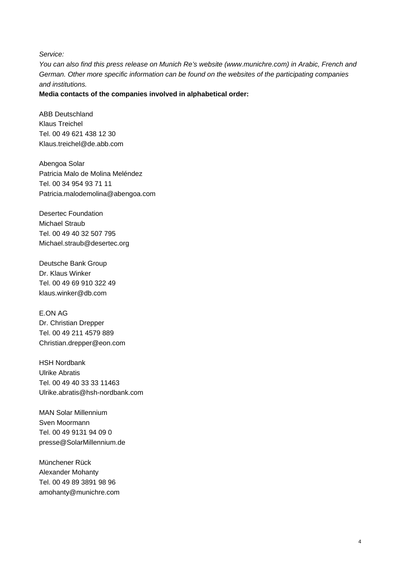*Service:* 

*You can also find this press release on Munich Re's website (www.munichre.com) in Arabic, French and German. Other more specific information can be found on the websites of the participating companies and institutions.* 

### **Media contacts of the companies involved in alphabetical order:**

ABB Deutschland Klaus Treichel Tel. 00 49 621 438 12 30 Klaus.treichel@de.abb.com

Abengoa Solar Patricia Malo de Molina Meléndez Tel. 00 34 954 93 71 11 Patricia.malodemolina@abengoa.com

Desertec Foundation Michael Straub Tel. 00 49 40 32 507 795 Michael.straub@desertec.org

Deutsche Bank Group Dr. Klaus Winker Tel. 00 49 69 910 322 49 klaus.winker@db.com

E.ON AG Dr. Christian Drepper Tel. 00 49 211 4579 889 Christian.drepper@eon.com

HSH Nordbank Ulrike Abratis Tel. 00 49 40 33 33 11463 Ulrike.abratis@hsh-nordbank.com

MAN Solar Millennium Sven Moormann Tel. 00 49 9131 94 09 0 presse@SolarMillennium.de

Münchener Rück Alexander Mohanty Tel. 00 49 89 3891 98 96 amohanty@munichre.com